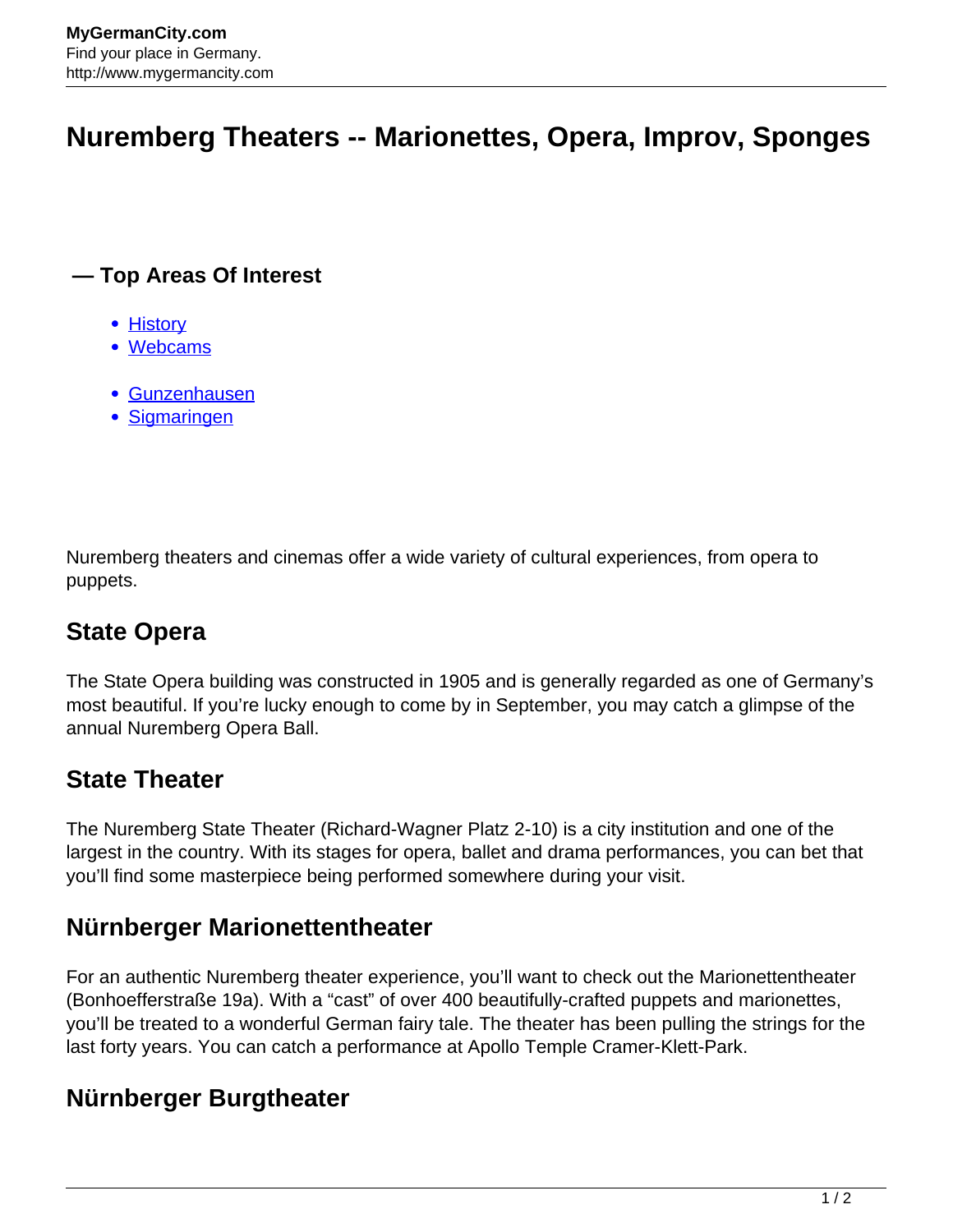# **Nuremberg Theaters -- Marionettes, Opera, Improv, Sponges**

#### **— Top Areas Of Interest**

- [History](http://www.mygermancity.com/leipzig-history)
- [Webcams](http://www.mygermancity.com/neustadt-holstein-webcams)
- [Gunzenhausen](http://www.mygermancity.com/gunzenhausen)
- [Sigmaringen](http://www.mygermancity.com/sigmaringen)

Nuremberg theaters and cinemas offer a wide variety of cultural experiences, from opera to puppets.

## **State Opera**

The State Opera building was constructed in 1905 and is generally regarded as one of Germany's most beautiful. If you're lucky enough to come by in September, you may catch a glimpse of the annual Nuremberg Opera Ball.

### **State Theater**

The Nuremberg State Theater (Richard-Wagner Platz 2-10) is a city institution and one of the largest in the country. With its stages for opera, ballet and drama performances, you can bet that you'll find some masterpiece being performed somewhere during your visit.

### **Nürnberger Marionettentheater**

For an authentic Nuremberg theater experience, you'll want to check out the Marionettentheater (Bonhoefferstraße 19a). With a "cast" of over 400 beautifully-crafted puppets and marionettes, you'll be treated to a wonderful German fairy tale. The theater has been pulling the strings for the last forty years. You can catch a performance at Apollo Temple Cramer-Klett-Park.

### **Nürnberger Burgtheater**